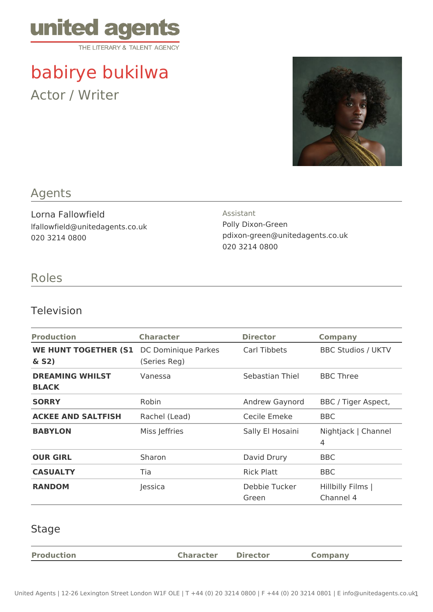

# babirye bukilwa Actor / Writer



## Agents

Lorna Fallowfield lfallowfield@unitedagents.co.uk 020 3214 0800

#### Assistant Polly Dixon-Green pdixon-green@unitedagents.co.uk 020 3214 0800

## Roles

#### Television

| <b>Production</b>                       | <b>Character</b>                    | <b>Director</b>        | <b>Company</b>                 |
|-----------------------------------------|-------------------------------------|------------------------|--------------------------------|
| <b>WE HUNT TOGETHER (S1)</b><br>$&$ S2) | DC Dominique Parkes<br>(Series Reg) | Carl Tibbets           | <b>BBC Studios / UKTV</b>      |
| <b>DREAMING WHILST</b><br><b>BLACK</b>  | Vanessa                             | Sebastian Thiel        | <b>BBC Three</b>               |
| <b>SORRY</b>                            | Robin                               | Andrew Gaynord         | BBC / Tiger Aspect,            |
| <b>ACKEE AND SALTFISH</b>               | Rachel (Lead)                       | Cecile Emeke           | <b>BBC</b>                     |
| <b>BABYLON</b>                          | Miss Jeffries                       | Sally El Hosaini       | Nightjack   Channel<br>4       |
| <b>OUR GIRL</b>                         | Sharon                              | David Drury            | <b>BBC</b>                     |
| <b>CASUALTY</b>                         | Tia                                 | <b>Rick Platt</b>      | BBC                            |
| <b>RANDOM</b>                           | Jessica                             | Debbie Tucker<br>Green | Hillbilly Films  <br>Channel 4 |

#### Stage

| <b>Production</b> | <b>Character</b> | <b>Director</b> | Company |
|-------------------|------------------|-----------------|---------|
|                   |                  |                 |         |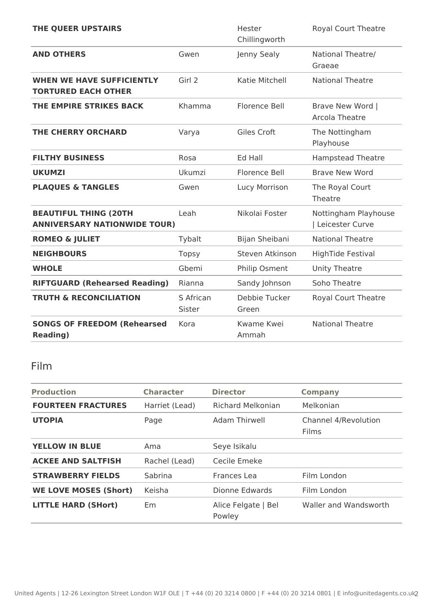| THE QUEER UPSTAIRS                                                  |                     | Hester<br>Chillingworth    | Royal Court Theatre                       |
|---------------------------------------------------------------------|---------------------|----------------------------|-------------------------------------------|
| <b>AND OTHERS</b>                                                   | Gwen                | Jenny Sealy                | National Theatre/<br>Graeae               |
| <b>WHEN WE HAVE SUFFICIENTLY</b><br><b>TORTURED EACH OTHER</b>      | Girl 2              | Katie Mitchell             | <b>National Theatre</b>                   |
| THE EMPIRE STRIKES BACK                                             | Khamma              | <b>Florence Bell</b>       | Brave New Word  <br>Arcola Theatre        |
| <b>THE CHERRY ORCHARD</b>                                           | Varya               | Giles Croft                | The Nottingham<br>Playhouse               |
| <b>FILTHY BUSINESS</b>                                              | Rosa                | Ed Hall                    | <b>Hampstead Theatre</b>                  |
| <b>UKUMZI</b>                                                       | Ukumzi              | <b>Florence Bell</b>       | <b>Brave New Word</b>                     |
| <b>PLAQUES &amp; TANGLES</b>                                        | Gwen                | Lucy Morrison              | The Royal Court<br>Theatre                |
| <b>BEAUTIFUL THING (20TH</b><br><b>ANNIVERSARY NATIONWIDE TOUR)</b> | Leah                | Nikolai Foster             | Nottingham Playhouse<br>  Leicester Curve |
| <b>ROMEO &amp; JULIET</b>                                           | Tybalt              | Bijan Sheibani             | <b>National Theatre</b>                   |
| <b>NEIGHBOURS</b>                                                   | <b>Topsy</b>        | Steven Atkinson            | <b>HighTide Festival</b>                  |
| <b>WHOLE</b>                                                        | Gbemi               | Philip Osment              | <b>Unity Theatre</b>                      |
| <b>RIFTGUARD (Rehearsed Reading)</b>                                | Rianna              | Sandy Johnson              | Soho Theatre                              |
| <b>TRUTH &amp; RECONCILIATION</b>                                   | S African<br>Sister | Debbie Tucker<br>Green     | Royal Court Theatre                       |
| <b>SONGS OF FREEDOM (Rehearsed</b><br><b>Reading)</b>               | Kora                | <b>Kwame Kwei</b><br>Ammah | <b>National Theatre</b>                   |

## Film

| <b>Production</b>            | <b>Character</b> | <b>Director</b>               | <b>Company</b>                       |
|------------------------------|------------------|-------------------------------|--------------------------------------|
| <b>FOURTEEN FRACTURES</b>    | Harriet (Lead)   | Richard Melkonian             | Melkonian                            |
| <b>UTOPIA</b>                | Page             | Adam Thirwell                 | Channel 4/Revolution<br><b>Films</b> |
| <b>YELLOW IN BLUE</b>        | Ama              | Seye Isikalu                  |                                      |
| <b>ACKEE AND SALTFISH</b>    | Rachel (Lead)    | Cecile Emeke                  |                                      |
| <b>STRAWBERRY FIELDS</b>     | Sabrina          | Frances Lea                   | Film London                          |
| <b>WE LOVE MOSES (Short)</b> | Keisha           | Dionne Edwards                | Film London                          |
| <b>LITTLE HARD (SHort)</b>   | Em.              | Alice Felgate   Bel<br>Powley | Waller and Wandsworth                |